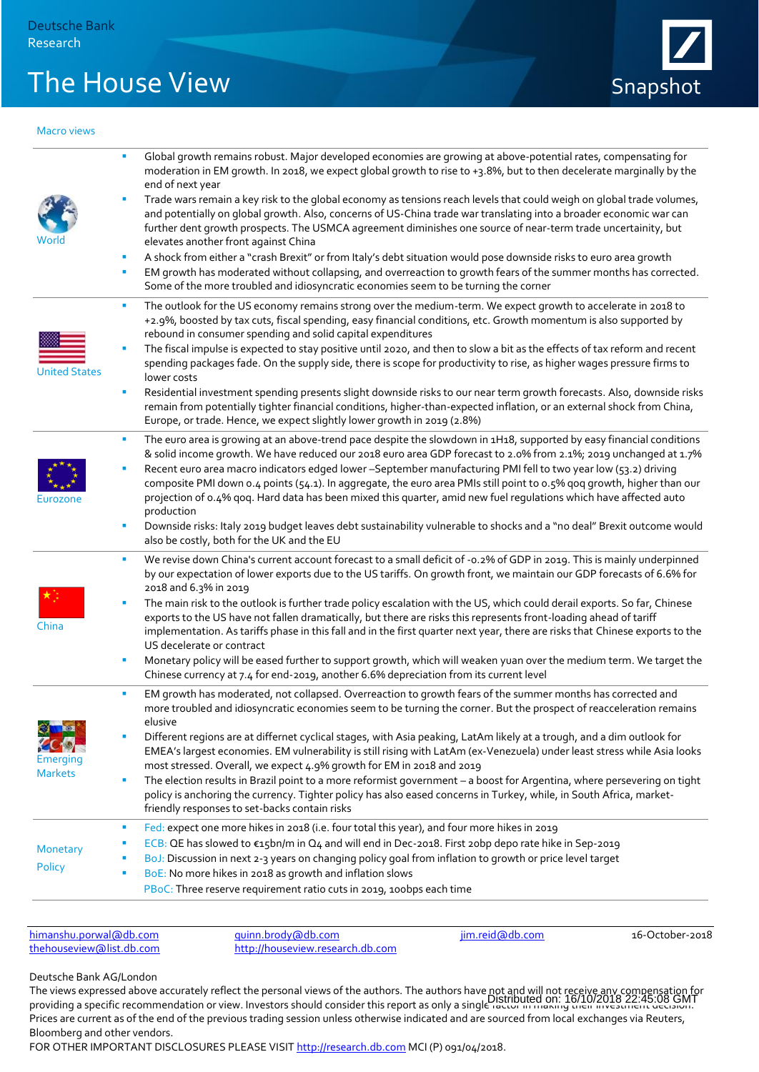## The House View Snapshot



| <b>Macro views</b>                |                                                                                                                                                                                                                                                                                                                                                                                                                                                              |
|-----------------------------------|--------------------------------------------------------------------------------------------------------------------------------------------------------------------------------------------------------------------------------------------------------------------------------------------------------------------------------------------------------------------------------------------------------------------------------------------------------------|
|                                   | Global growth remains robust. Major developed economies are growing at above-potential rates, compensating for<br>I.<br>moderation in EM growth. In 2018, we expect global growth to rise to +3.8%, but to then decelerate marginally by the<br>end of next year                                                                                                                                                                                             |
|                                   | Trade wars remain a key risk to the global economy as tensions reach levels that could weigh on global trade volumes,<br>×<br>and potentially on global growth. Also, concerns of US-China trade war translating into a broader economic war can<br>further dent growth prospects. The USMCA agreement diminishes one source of near-term trade uncertainity, but<br>elevates another front against China                                                    |
|                                   | A shock from either a "crash Brexit" or from Italy's debt situation would pose downside risks to euro area growth<br>×<br>EM growth has moderated without collapsing, and overreaction to growth fears of the summer months has corrected.<br>×<br>Some of the more troubled and idiosyncratic economies seem to be turning the corner                                                                                                                       |
| <b>United States</b>              | The outlook for the US economy remains strong over the medium-term. We expect growth to accelerate in 2018 to<br>I.<br>+2.9%, boosted by tax cuts, fiscal spending, easy financial conditions, etc. Growth momentum is also supported by<br>rebound in consumer spending and solid capital expenditures                                                                                                                                                      |
|                                   | The fiscal impulse is expected to stay positive until 2020, and then to slow a bit as the effects of tax reform and recent<br>I.<br>spending packages fade. On the supply side, there is scope for productivity to rise, as higher wages pressure firms to<br>lower costs                                                                                                                                                                                    |
|                                   | Residential investment spending presents slight downside risks to our near term growth forecasts. Also, downside risks<br>I.<br>remain from potentially tighter financial conditions, higher-than-expected inflation, or an external shock from China,<br>Europe, or trade. Hence, we expect slightly lower growth in 2019 (2.8%)                                                                                                                            |
| Eurozone                          | The euro area is growing at an above-trend pace despite the slowdown in 1H18, supported by easy financial conditions<br>I.<br>& solid income growth. We have reduced our 2018 euro area GDP forecast to 2.0% from 2.1%; 2019 unchanged at 1.7%                                                                                                                                                                                                               |
|                                   | Recent euro area macro indicators edged lower -September manufacturing PMI fell to two year low (53.2) driving<br>×<br>composite PMI down 0.4 points (54.1). In aggregate, the euro area PMIs still point to 0.5% qoq growth, higher than our<br>projection of 0.4% qoq. Hard data has been mixed this quarter, amid new fuel regulations which have affected auto<br>production                                                                             |
|                                   | Downside risks: Italy 2019 budget leaves debt sustainability vulnerable to shocks and a "no deal" Brexit outcome would<br>×<br>also be costly, both for the UK and the EU                                                                                                                                                                                                                                                                                    |
|                                   | We revise down China's current account forecast to a small deficit of -0.2% of GDP in 2019. This is mainly underpinned<br>п<br>by our expectation of lower exports due to the US tariffs. On growth front, we maintain our GDP forecasts of 6.6% for<br>2018 and 6.3% in 2019                                                                                                                                                                                |
| China                             | The main risk to the outlook is further trade policy escalation with the US, which could derail exports. So far, Chinese<br>I.<br>exports to the US have not fallen dramatically, but there are risks this represents front-loading ahead of tariff<br>implementation. As tariffs phase in this fall and in the first quarter next year, there are risks that Chinese exports to the<br>US decelerate or contract                                            |
|                                   | Monetary policy will be eased further to support growth, which will weaken yuan over the medium term. We target the<br>×<br>Chinese currency at 7.4 for end-2019, another 6.6% depreciation from its current level                                                                                                                                                                                                                                           |
| <b>Emerging</b><br><b>Markets</b> | EM growth has moderated, not collapsed. Overreaction to growth fears of the summer months has corrected and<br>more troubled and idiosyncratic economies seem to be turning the corner. But the prospect of reacceleration remains<br>elusive                                                                                                                                                                                                                |
|                                   | Different regions are at differnet cyclical stages, with Asia peaking, LatAm likely at a trough, and a dim outlook for<br>I.<br>EMEA's largest economies. EM vulnerability is still rising with LatAm (ex-Venezuela) under least stress while Asia looks<br>most stressed. Overall, we expect 4.9% growth for EM in 2018 and 2019                                                                                                                            |
|                                   | The election results in Brazil point to a more reformist government - a boost for Argentina, where persevering on tight<br>I.<br>policy is anchoring the currency. Tighter policy has also eased concerns in Turkey, while, in South Africa, market-<br>friendly responses to set-backs contain risks                                                                                                                                                        |
| <b>Monetary</b><br><b>Policy</b>  | Fed: expect one more hikes in 2018 (i.e. four total this year), and four more hikes in 2019<br>F<br>ECB: QE has slowed to €15bn/m in Q4 and will end in Dec-2018. First 20bp depo rate hike in Sep-2019<br>BoJ: Discussion in next 2-3 years on changing policy goal from inflation to growth or price level target<br>BoE: No more hikes in 2018 as growth and inflation slows<br>п<br>PBoC: Three reserve requirement ratio cuts in 2019, 100bps each time |

himanshu.porwal@db.com [quinn.brody@db.com](mailto:quinn.brody@db.com) [jim.reid@db.com](mailto:jim.reid@db.com) 16-October-2018<br>
thehouseview@list.db.com http://houseview.research.db.com jim.reid@db.com 16-October-2018 [http://houseview.research.db.com](http://houseview.research.db.com/)

## Deutsche Bank AG/London

The views expressed above accurately reflect the personal views of the authors. The authors have not and will not receive any compensation for providing a specific recommendation or view. Investors should consider this report as only a single factor in making their investment decision. Distributed on: 16/10/2018 22:45:08 GMT Prices are current as of the end of the previous trading session unless otherwise indicated and are sourced from local exchanges via Reuters, Bloomberg and other vendors.

FOR OTHER IMPORTANT DISCLOSURES PLEASE VISI[T http://research.db.com](http://research.db.com/) MCI (P) 091/04/2018. 7T2se3r0Ot6kwoPa